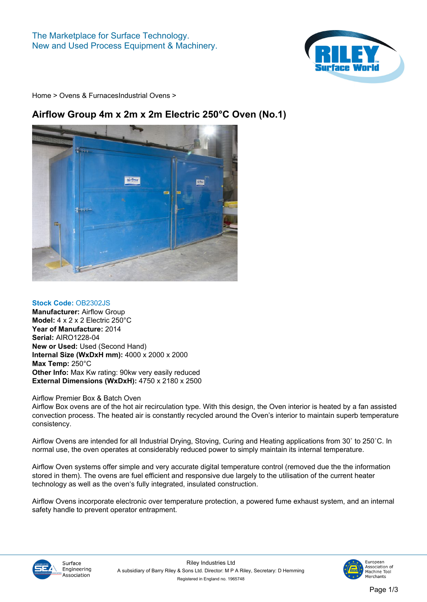

**[Home](https://www.rileysurfaceworld.co.uk) > [Ovens & Furnaces](https://www.rileysurfaceworld.co.uk/ovens.asp)[Industrial Ovens](https://www.rileysurfaceworld.co.uk/ovens-industrial.asp) >**

## **Airflow Group 4m x 2m x 2m Electric 250°C Oven (No.1)**



## **Stock Code: OB2302JS**

**Manufacturer: Airflow Group Model: 4 x 2 x 2 Electric 250°C Year of Manufacture: 2014 Serial: AIRO1228-04 New or Used: Used (Second Hand) Internal Size (WxDxH mm): 4000 x 2000 x 2000 Max Temp: 250°C Other Info: Max Kw rating: 90kw very easily reduced External Dimensions (WxDxH): 4750 x 2180 x 2500**

## **Airflow Premier Box & Batch Oven**

**Airflow Box ovens are of the hot air recirculation type. With this design, the Oven interior is heated by a fan assisted convection process. The heated air is constantly recycled around the Oven's interior to maintain superb temperature consistency.**

**Airflow Ovens are intended for all Industrial Drying, Stoving, Curing and Heating applications from 30˚ to 250˚C. In normal use, the oven operates at considerably reduced power to simply maintain its internal temperature.**

**Airflow Oven systems offer simple and very accurate digital temperature control (removed due the the information stored in them). The ovens are fuel efficient and responsive due largely to the utilisation of the current heater technology as well as the oven's fully integrated, insulated construction.**

**Airflow Ovens incorporate electronic over temperature protection, a powered fume exhaust system, and an internal safety handle to prevent operator entrapment.**



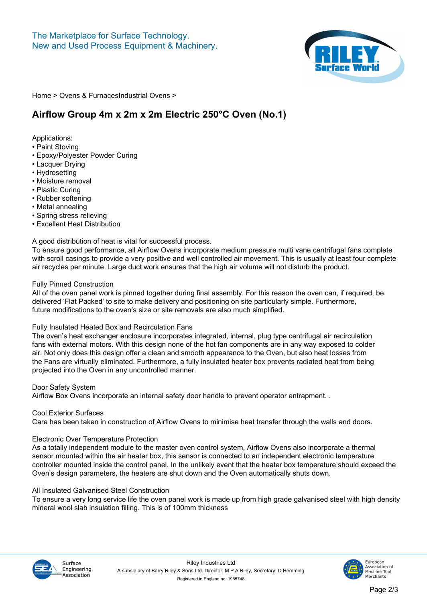

**[Home](https://www.rileysurfaceworld.co.uk) > [Ovens & Furnaces](https://www.rileysurfaceworld.co.uk/ovens.asp)[Industrial Ovens](https://www.rileysurfaceworld.co.uk/ovens-industrial.asp) >**

## **Airflow Group 4m x 2m x 2m Electric 250°C Oven (No.1)**

**Applications:**

- **Paint Stoving**
- **Epoxy/Polyester Powder Curing**
- **Lacquer Drying**
- **Hydrosetting**
- **Moisture removal**
- **Plastic Curing**
- **Rubber softening**
- **Metal annealing**
- **Spring stress relieving**
- **Excellent Heat Distribution**

**A good distribution of heat is vital for successful process.**

**To ensure good performance, all Airflow Ovens incorporate medium pressure multi vane centrifugal fans complete with scroll casings to provide a very positive and well controlled air movement. This is usually at least four complete air recycles per minute. Large duct work ensures that the high air volume will not disturb the product.**

#### **Fully Pinned Construction**

**All of the oven panel work is pinned together during final assembly. For this reason the oven can, if required, be delivered 'Flat Packed' to site to make delivery and positioning on site particularly simple. Furthermore, future modifications to the oven's size or site removals are also much simplified.**

## **Fully Insulated Heated Box and Recirculation Fans**

**The oven's heat exchanger enclosure incorporates integrated, internal, plug type centrifugal air recirculation fans with external motors. With this design none of the hot fan components are in any way exposed to colder air. Not only does this design offer a clean and smooth appearance to the Oven, but also heat losses from the Fans are virtually eliminated. Furthermore, a fully insulated heater box prevents radiated heat from being projected into the Oven in any uncontrolled manner.**

**Door Safety System**

**Airflow Box Ovens incorporate an internal safety door handle to prevent operator entrapment. .**

#### **Cool Exterior Surfaces**

**Care has been taken in construction of Airflow Ovens to minimise heat transfer through the walls and doors.**

#### **Electronic Over Temperature Protection**

**As a totally independent module to the master oven control system, Airflow Ovens also incorporate a thermal sensor mounted within the air heater box, this sensor is connected to an independent electronic temperature controller mounted inside the control panel. In the unlikely event that the heater box temperature should exceed the Oven's design parameters, the heaters are shut down and the Oven automatically shuts down.**

## **All Insulated Galvanised Steel Construction**

**To ensure a very long service life the oven panel work is made up from high grade galvanised steel with high density mineral wool slab insulation filling. This is of 100mm thickness**